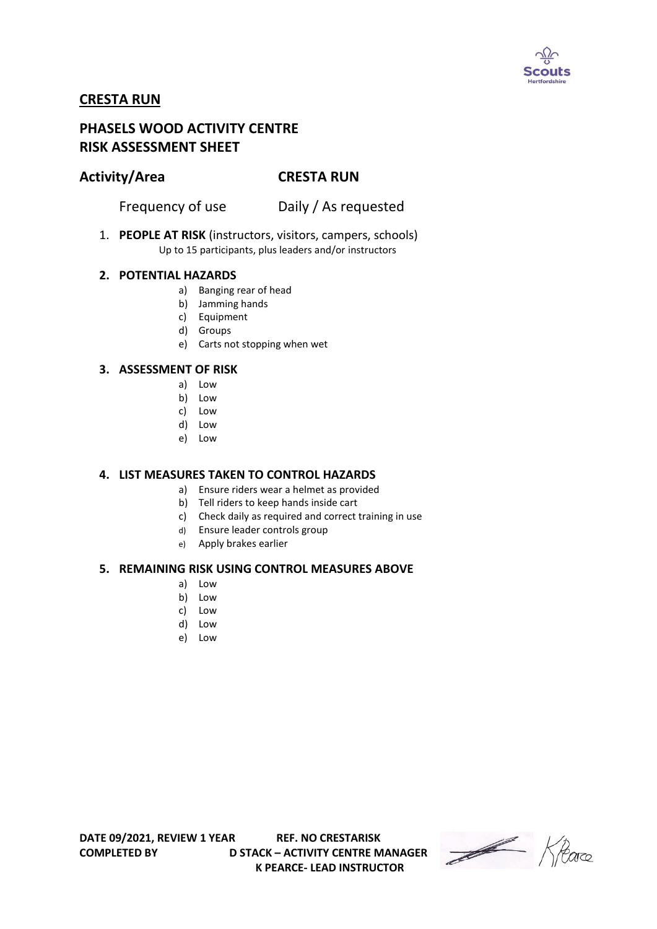

# **CRESTA RUN**

# **PHASELS WOOD ACTIVITY CENTRE RISK ASSESSMENT SHEET**

## **Activity/Area CRESTA RUN**

Frequency of use Daily / As requested

1. **PEOPLE AT RISK** (instructors, visitors, campers, schools) Up to 15 participants, plus leaders and/or instructors

### **2. POTENTIAL HAZARDS**

- a) Banging rear of head
- b) Jamming hands
- c) Equipment
- d) Groups
- e) Carts not stopping when wet

### **3. ASSESSMENT OF RISK**

- a) Low
- b) Low
- c) Low
- d) Low
- e) Low

#### **4. LIST MEASURES TAKEN TO CONTROL HAZARDS**

- a) Ensure riders wear a helmet as provided
- b) Tell riders to keep hands inside cart
- c) Check daily as required and correct training in use
- d) Ensure leader controls group
- e) Apply brakes earlier

#### **5. REMAINING RISK USING CONTROL MEASURES ABOVE**

- a) Low
- b) Low
- c) Low
- d) Low
- e) Low

**COMPLETED BY D STACK – ACTIVITY CENTRE MANAGER K PEARCE- LEAD INSTRUCTOR** 

Heare